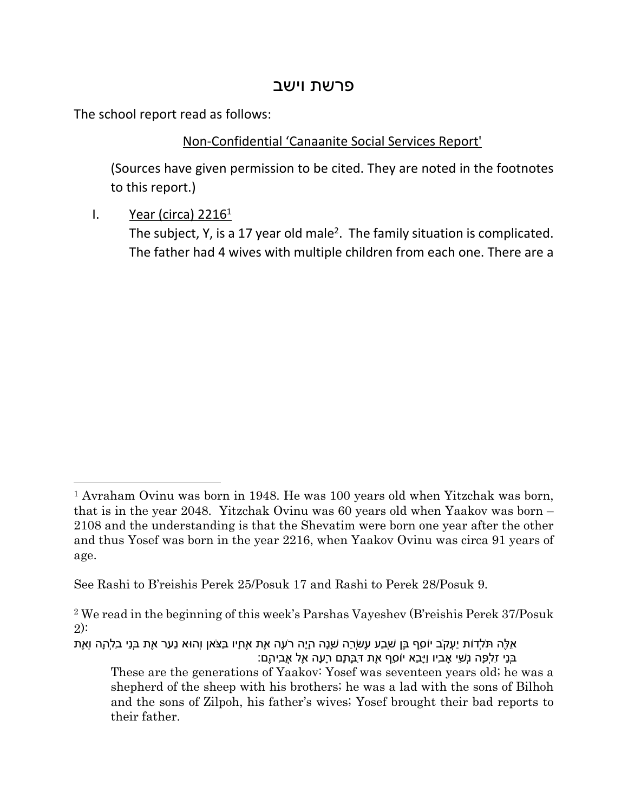## פרשת וישב

The school report read as follows:

## Non-Confidential 'Canaanite Social Services Report'

(Sources have given permission to be cited. They are noted in the footnotes to this report.)

I. Year (circa)  $2216<sup>1</sup>$ 

The subject, Y, is a 17 year old male<sup>2</sup>. The family situation is complicated. The father had 4 wives with multiple children from each one. There are a

<sup>&</sup>lt;sup>1</sup> Avraham Ovinu was born in 1948. He was 100 years old when Yitzchak was born, that is in the year 2048. Yitzchak Ovinu was 60 years old when Yaakov was born – 2108 and the understanding is that the Shevatim were born one year after the other and thus Yosef was born in the year 2216, when Yaakov Ovinu was circa 91 years of age.

See Rashi to B'reishis Perek 25/Posuk 17 and Rashi to Perek 28/Posuk 9.

<sup>2</sup> We read in the beginning of this week's Parshas Vayeshev (B'reishis Perek 37/Posuk 2):

אֵלֶּה תֹּלְדוֹת יַעֲקֹב יוֹסֵף בֶּן שְׁבַע עֶשְׂרֵה שָׁנָה הָיָה רֹעֶה אֶת אֶחָיו בַּצֹּאן וְהוּא נַעַר אֶת בְּנֵי בִלְהָה וְאֶת בְּנֵי זִלְפָּה נְשֵׁי אָבִיו וַיָּבֵא יוֹסֵף אֶת דִּבָּתָם רָעָה אֶל אֲבִיהֶם:

These are the generations of Yaakov: Yosef was seventeen years old; he was a shepherd of the sheep with his brothers; he was a lad with the sons of Bilhoh and the sons of Zilpoh, his father's wives; Yosef brought their bad reports to their father.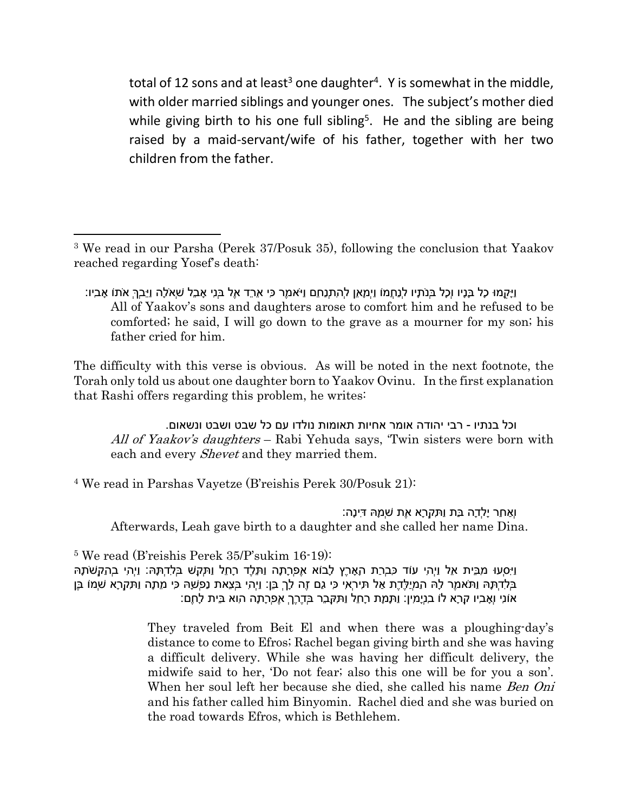total of 12 sons and at least<sup>3</sup> one daughter<sup>4</sup>. Y is somewhat in the middle, with older married siblings and younger ones. The subject's mother died while giving birth to his one full sibling<sup>5</sup>. He and the sibling are being raised by a maid-servant/wife of his father, together with her two children from the father.

וַיָּקֻמוּ כָל בָּנָיו וְכָל בְּנֹתָיו לְנַחֲמוֹ וַיְמָאֵן לְהִתְנַחֵם וַיֹּאמֶר כִּי אֵרֵד אֶל בְּנִי אָבֵל שְׁאֹלָה וַיֵּבְךְּ אֹתוֹ אָבִיו: All of Yaakov's sons and daughters arose to comfort him and he refused to be comforted; he said, I will go down to the grave as a mourner for my son; his father cried for him.

The difficulty with this verse is obvious. As will be noted in the next footnote, the Torah only told us about one daughter born to Yaakov Ovinu. In the first explanation that Rashi offers regarding this problem, he writes:

וכל בנתיו - רבי יהודה אומר אחיות תאומות נולדו עם כל שבט ושבט ונשאום. *All of Yaakov's daughters* – Rabi Yehuda says, 'Twin sisters were born with each and every *Shevet* and they married them.

4 We read in Parshas Vayetze (B'reishis Perek 30/Posuk 21):

וְאַחַר יָלְדָה בַּת וַתִּקְרָא אֶת שְׁמָהּ דִּינָה: Afterwards, Leah gave birth to a daughter and she called her name Dina.

5 We read (B'reishis Perek 35/P'sukim 16-19):

וַיִּסְעוּ מִבֵּית אֵל וַיְהִי עוֹד כִּבְרַת הָאָרֶץ לָבוֹא אֶפְרָתָה וַתֵּלֶד רָחֵל וַתְּקַשׁ בְּלִדְתָּהּ: וַיְהִי בְהַקְשֹׁתָהּ בְּלִדְתָּהּ וַתֹּאמֶר לָהּ הַמְיַלֶּדֶת אַל תִּירְאִי כִּי גַם זֶה לָךְ בֵּן: וַיְהִי בְּצֵאת נַפְשָׁהּ כִּי מֵתָה וַתִּקְרָא שְׁמוֹ בֶּן אוֹנִי וְאָבִיו קָרָא לוֹ בִנְיָמִין: וַתָּמָת רָחֵל וַתִּקָּבֵר בְּדֶרֶךְ אֶפְרָתָה הִוא בֵּית לָחֶם:

> They traveled from Beit El and when there was a ploughing-day's distance to come to Efros; Rachel began giving birth and she was having a difficult delivery. While she was having her difficult delivery, the midwife said to her, 'Do not fear; also this one will be for you a son'. When her soul left her because she died, she called his name *Ben Oni* and his father called him Binyomin. Rachel died and she was buried on the road towards Efros, which is Bethlehem.

<sup>&</sup>lt;sup>3</sup> We read in our Parsha (Perek 37/Posuk 35), following the conclusion that Yaakov reached regarding Yosef's death: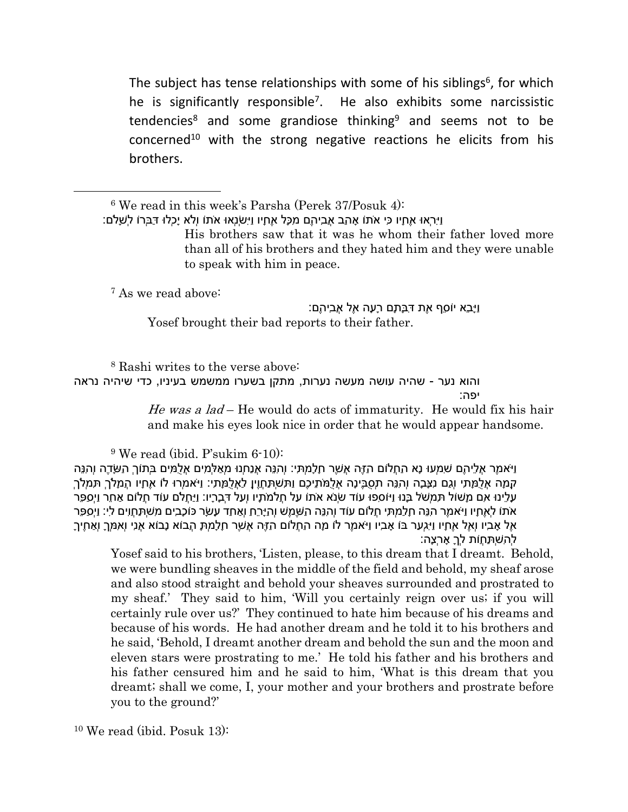The subject has tense relationships with some of his siblings<sup>6</sup>, for which he is significantly responsible<sup>7</sup>. He also exhibits some narcissistic tendencies<sup>8</sup> and some grandiose thinking<sup>9</sup> and seems not to be concerned<sup>10</sup> with the strong negative reactions he elicits from his brothers.

6 We read in this week's Parsha (Perek 37/Posuk 4):

וַיִּרְאוּ אֶחָיו כִּי אֹתוֹ אָהַב אֲבִיהֶם מִכָּל אֶחָיו וַיִּשְׂנְאוּ אֹתוֹ וְלֹא יָכְלוּ דַּבְּרוֹ לְשָׁלֹם:

His brothers saw that it was he whom their father loved more than all of his brothers and they hated him and they were unable to speak with him in peace.

<sup>7</sup> As we read above:

וַיָּבֵא יוֹסֵף אֶת דִּבָּתָם רָעָה אֶל אֲבִיהֶם: Yosef brought their bad reports to their father.

<sup>8</sup> Rashi writes to the verse above: והוא נער - שהיה עושה מעשה נערות, מתקן בשערו ממשמש בעיניו, כדי שיהיה נראה יפה:

> *He was a lad* – He would do acts of immaturity. He would fix his hair and make his eyes look nice in order that he would appear handsome.

9 We read (ibid. P'sukim 6-10):

וַיֹּאמֶר אֲלֵיהֶם שִׁמְעוּ נָא הַחֲלוֹם הַזֶּה אֲשֶׁר חָלָמְתִּי: וְהִנֵּה אֲנַחְנוּ מְאַלְּמִים אֲלֻמִּים בְּתוֹךְ הַשָּׂדֶה וְהִנֵּה קָמָה אֲלֻמָּתִי וְגַם נִצָּבָה וְהִנֵּה תְסֻבֶּינָה אֲלֻמֹּתֵיכֶם וַתִּשְׁתַּחֲוֶיןָ לַאֲלֻמָּתִי: וַיֹּאמְרוּ לוֹ אֶחָיו הֲמָלֹךְ תִּמְלֹךְ עָלֵינוּ אִם מָשׁוֹל תִּמְשֹׁל בָּנוּ וַיּוֹסִפוּ עוֹד שְׂנֹא אֹתוֹ עַל חֲלֹמֹתָיו וְעַל דְּבָרָיו: וַיַּחֲלֹם עוֹד חֲלוֹם אַחֵר וַיְסַפֵּר אֹתוֹ לְאֶחָיו וַיֹּאמֶר הִנֵּה חָלַמְתִּי חֲלוֹם עוֹד וְהִנֵּה הַשֶּׁמֶשׁ וְהַיָּרֵחַ וְאַחַד עָשָׂר כּוֹכָבִים מִשְׁתַּחֲוִים לִי: וַיְסַפֵּר אֶל אָבִיו וְאֶל אֶחָיו וַיִּגְעַר בּוֹ אָבִיו וַיֹּאמֶר לוֹ מָה הַחֲלוֹם הַזֶּה אֲשֶׁר חָלָמְתָּ הֲבוֹא נָבוֹא אֲנִי וְאִמְּךָ וְאַחֶיךָ לְהִשְׁתַּחֲוֹת לְךָ אָרְצָה:

Yosef said to his brothers, 'Listen, please, to this dream that I dreamt. Behold, we were bundling sheaves in the middle of the field and behold, my sheaf arose and also stood straight and behold your sheaves surrounded and prostrated to my sheaf.' They said to him, 'Will you certainly reign over us; if you will certainly rule over us?' They continued to hate him because of his dreams and because of his words. He had another dream and he told it to his brothers and he said, 'Behold, I dreamt another dream and behold the sun and the moon and eleven stars were prostrating to me.' He told his father and his brothers and his father censured him and he said to him, 'What is this dream that you dreamt; shall we come, I, your mother and your brothers and prostrate before you to the ground?'

10 We read (ibid. Posuk 13):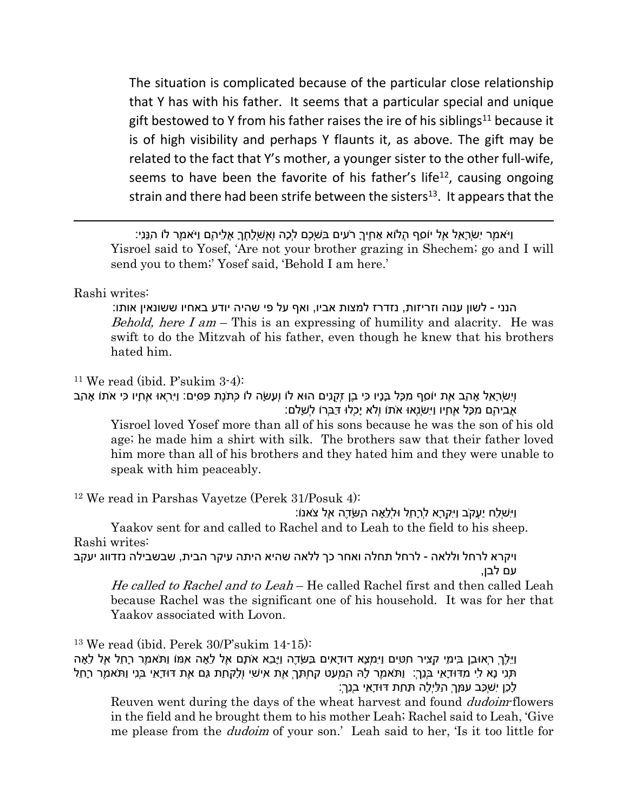The situation is complicated because of the particular close relationship that Y has with his father. It seems that a particular special and unique gift bestowed to Y from his father raises the ire of his siblings<sup>11</sup> because it is of high visibility and perhaps Y flaunts it, as above. The gift may be related to the fact that Y's mother, a younger sister to the other full-wife, seems to have been the favorite of his father's life<sup>12</sup>, causing ongoing strain and there had been strife between the sisters<sup>13</sup>. It appears that the

וַיֹּאמֶר יִשְׂרָאֵל אֶל יוֹסֵף הֲלוֹא אַחֶיךָ רֹעִים בִּשְׁכֶם לְכָה וְאֶשְׁלָחֲךָ אֲלֵיהֶם וַיֹּאמֶר לוֹ הִנֵּנִי: Yisroel said to Yosef, 'Are not your brother grazing in Shechem; go and I will send you to them;' Yosef said, 'Behold I am here.'

## Rashi writes:

הנני - לשון ענוה וזריזות, נזדרז למצות אביו, ואף על פי שהיה יודע באחיו ששונאין אותו: *Behold, here I am* – This is an expressing of humility and alacrity. He was swift to do the Mitzvah of his father, even though he knew that his brothers hated him.

<sup>11</sup> We read (ibid. P'sukim  $3-4$ ):

וְיִשְׂרָאֵל אָהַב אֶת יוֹסֵף מִכָּל בָּנָיו כִּי בֶן זְקֻנִים הוּא לוֹ וְעָשָׂה לוֹ כְּתֹנֶת פַּסִּים: וַיִּרְאוּ אֶחָיו כִּי אֹתוֹ אָהַב אֲבִיהֶם מִכָּל אֶחָיו וַיִּשְׂנְאוּ אֹתוֹ וְלֹא יָכְלוּ דַּבְּרוֹ לְשָׁלֹם:

Yisroel loved Yosef more than all of his sons because he was the son of his old age; he made him a shirt with silk. The brothers saw that their father loved him more than all of his brothers and they hated him and they were unable to speak with him peaceably.

<sup>12</sup> We read in Parshas Vayetze (Perek 31/Posuk 4):

וַיִּשְׁלַח יַעֲקֹב וַיִּקְרָא לְרָחֵל וּלְלֵאָה הַשָּׂדֶה אֶל צֹאנוֹ:

Yaakov sent for and called to Rachel and to Leah to the field to his sheep. Rashi writes:

ויקרא לרחל וללאה - לרחל תחלה ואחר כך ללאה שהיא היתה עיקר הבית, שבשבילה נזדווג יעקב עם לבן,

*He called to Rachel and to Leah* – He called Rachel first and then called Leah because Rachel was the significant one of his household. It was for her that Yaakov associated with Lovon.

<sup>13</sup> We read (ibid. Perek 30/P'sukim 14-15):

וַיֵּלֶךְ רְאוּבֵן בִּימֵי קְצִיר חִטִּים וַיִּמְצָא דוּדָאִים בַּשָּׂדֶה וַיָּבֵא אֹתָם אֶל לֵאָה אִמּוֹ וַתֹּאמֶר רָחֵל אֶל לֵאָה תְּנִי נָא לִי מִדּוּדָאֵי בְּנֵך:ְ וַתֹּאמֶר לָהּ הַמְעַט קַחְתֵּךְ אֶת אִישִׁי וְלָקַחַת גַּם אֶת דּוּדָאֵי בְּנִי וַתֹּאמֶר רָחֵל לָכֵן יִשְׁכַּב עִמָּךְ הַלַּיְלָה תַּחַת דּוּדָאֵי בְנֵך:ְ

Reuven went during the days of the wheat harvest and found *dudoim*-flowers in the field and he brought them to his mother Leah; Rachel said to Leah, 'Give me please from the *dudoim* of your son.' Leah said to her, 'Is it too little for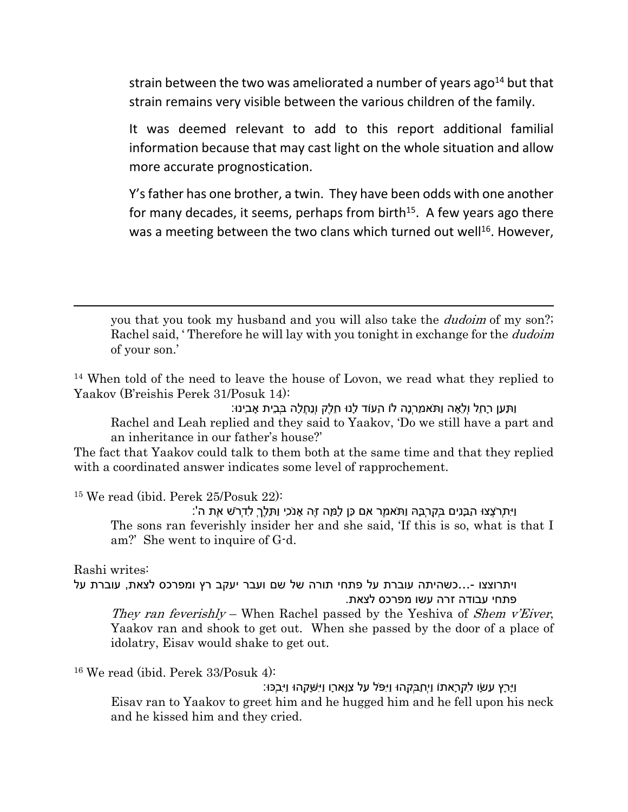strain between the two was ameliorated a number of years ago $^{14}$  but that strain remains very visible between the various children of the family.

It was deemed relevant to add to this report additional familial information because that may cast light on the whole situation and allow more accurate prognostication.

Y's father has one brother, a twin. They have been odds with one another for many decades, it seems, perhaps from birth<sup>15</sup>. A few years ago there was a meeting between the two clans which turned out well<sup>16</sup>. However,

you that you took my husband and you will also take the *dudoim* of my son?; Rachel said, ' Therefore he will lay with you tonight in exchange for the *dudoim* of your son.'

<sup>14</sup> When told of the need to leave the house of Lovon, we read what they replied to Yaakov (B'reishis Perek 31/Posuk 14):

וַתַּעַן רָחֵל וְלֵאָה וַתֹּאמַרְנָה לוֹ הַעוֹד לָנוּ חֵלֶק וְנַחֲלָה בְּבֵית אָבִינוּ: Rachel and Leah replied and they said to Yaakov, 'Do we still have a part and an inheritance in our father's house?'

The fact that Yaakov could talk to them both at the same time and that they replied with a coordinated answer indicates some level of rapprochement.

<sup>15</sup> We read (ibid. Perek 25/Posuk 22):

וַיִּתְרֹצֲצוּ הַבָּנִים בְּקִרְבָּהּ וַתֹּאמֶר אִם כֵּן לָמָּה זֶּה אָנֹכִי וַתֵּלֶךְ לִדְרֹשׁ אֶת ה': The sons ran feverishly insider her and she said, 'If this is so, what is that I am?' She went to inquire of G-d.

Rashi writes:

ויתרוצצו -...כשהיתה עוברת על פתחי תורה של שם ועבר יעקב רץ ומפרכס לצאת, עוברת על פתחי עבודה זרה עשו מפרכס לצאת.

*They ran feverishly* – When Rachel passed by the Yeshiva of *Shem v'Eiver*, Yaakov ran and shook to get out. When she passed by the door of a place of idolatry, Eisav would shake to get out.

<sup>16</sup> We read (ibid. Perek 33/Posuk 4):

וַיָּרָץ עֵשָׂו לִקְרָאתוֹ וַיְחַבְּקֵהוּ וַיִּפֹּל עַל צַוָּארָו וַיִּשָּׁקֵהוּ וַיִּבְכּוּ: Eisav ran to Yaakov to greet him and he hugged him and he fell upon his neck and he kissed him and they cried.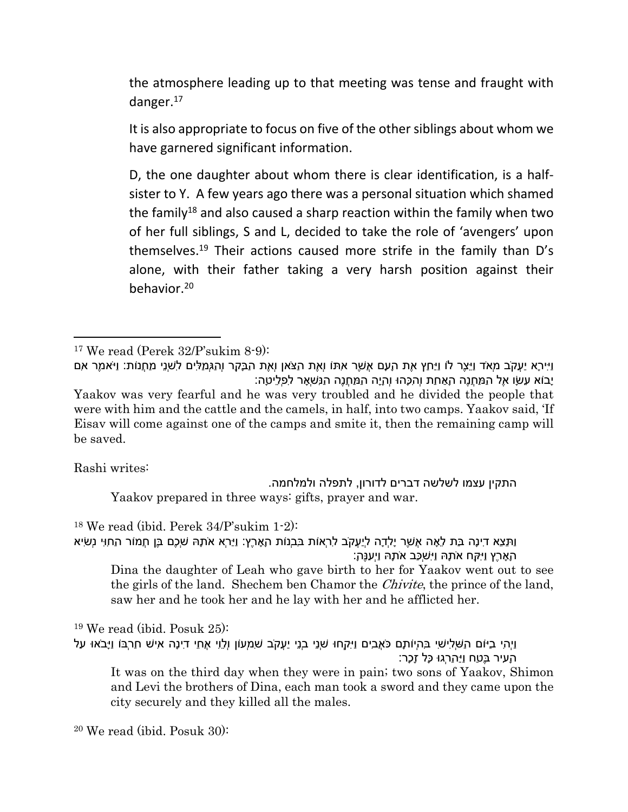the atmosphere leading up to that meeting was tense and fraught with danger.<sup>17</sup>

It is also appropriate to focus on five of the other siblings about whom we have garnered significant information.

D, the one daughter about whom there is clear identification, is a halfsister to Y. A few years ago there was a personal situation which shamed the family<sup>18</sup> and also caused a sharp reaction within the family when two of her full siblings, S and L, decided to take the role of 'avengers' upon themselves.<sup>19</sup> Their actions caused more strife in the family than D's alone, with their father taking a very harsh position against their behavior.<sup>20</sup>

Rashi writes:

התקין עצמו לשלשה דברים לדורון, לתפלה ולמלחמה. Yaakov prepared in three ways: gifts, prayer and war.

<sup>18</sup> We read (ibid. Perek 34/P'sukim 1-2):

וַתֵּצֵא דִינָה בַּת לֵאָה אֲשֶׁר יָלְדָה לְיַעֲקֹב לִרְאוֹת בִּבְנוֹת הָאָרֶץ: וַיַּרְא אֹתָהּ שְׁכֶם בֶּן חֲמוֹר הַחִוִּי נְשִׂיא הָאָרֶץ וַיִּקַּח אֹתָהּ וַיִּשְׁכַּב אֹתָהּ וַיְעַנֶּה:ָ Dina the daughter of Leah who gave birth to her for Yaakov went out to see

the girls of the land. Shechem ben Chamor the *Chivite*, the prince of the land, saw her and he took her and he lay with her and he afflicted her.

<sup>19</sup> We read (ibid. Posuk 25): וַיְהִי בַיּוֹם הַשְּׁלִישִׁי בִּהְיוֹתָם כֹּאֲבִים וַיִּקְחוּ שְׁנֵי בְנֵי יַעֲקֹב שִׁמְעוֹן וְלֵוִי אֲחֵי דִינָה אִישׁ חַרְבּוֹ וַיָּבֹאוּ עַל הָעִיר בֶּטַח וַיַּהַרְגוּ כָּל זָכָר: It was on the third day when they were in pain; two sons of Yaakov, Shimon

and Levi the brothers of Dina, each man took a sword and they came upon the city securely and they killed all the males.

20 We read (ibid. Posuk 30):

 $17$  We read (Perek 32/P'sukim 8-9):

וַיִּירָא יַעֲקֹב מְאֹד וַיֵּצֶר לוֹ וַיַּחַץ אֶת הָעָם אֲשֶׁר אִתּוֹ וְאֶת הַצֹּאן וְאֶת הַבָּקָר וְהַגְּמַלִּים לִשְׁנֵי מַחֲנוֹת: וַיֹּאמֶר אִם יָבוֹא עֵשָׂו אֶל הַמַּחֲנֶה הָאַחַת וְהִכָּהוּ וְהָיָה הַמַּחֲנֶה הַנִּשְׁאָר לִפְלֵיטָה:

Yaakov was very fearful and he was very troubled and he divided the people that were with him and the cattle and the camels, in half, into two camps. Yaakov said, 'If Eisav will come against one of the camps and smite it, then the remaining camp will be saved.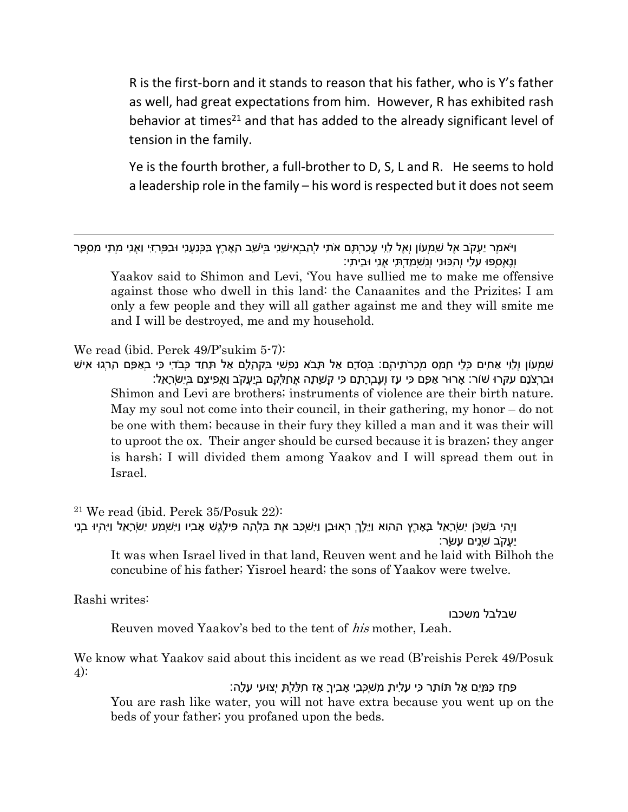R is the first-born and it stands to reason that his father, who is Y's father as well, had great expectations from him. However, R has exhibited rash behavior at times<sup>21</sup> and that has added to the already significant level of tension in the family.

Ye is the fourth brother, a full-brother to D, S, L and R. He seems to hold a leadership role in the family – his word is respected but it does not seem

וַיֹּאמֶר יַעֲקֹב אֶל שִׁמְעוֹן וְאֶל לֵוִי עֲכַרְתֶּם אֹתִי לְהַבְאִישֵׁנִי בְּיֹשֵׁב הָאָרֶץ בַּכְּנַעֲנִי וּבַפְּרִזִּי וַאֲנִי מְתֵי מִסְפָּר וְנֶאֶסְפוּ עָלַי וְהִכּוּנִי וְנִשְׁמַדְתִּי אֲנִי וּבֵיתִי:

Yaakov said to Shimon and Levi, 'You have sullied me to make me offensive against those who dwell in this land: the Canaanites and the Prizites; I am only a few people and they will all gather against me and they will smite me and I will be destroyed, me and my household.

We read (ibid. Perek 49/P'sukim 5-7):

שִׁמְעוֹן וְלֵוִי אַחִים כְּלֵי חָמָס מְכֵרֹתֵיהֶם: בְּסֹדָם אַל תָּבֹא נַפְשִׁי בִּקְהָלָם אַל תֵּחַד כְּבֹדִי כִּי בְאַפָּם הָרְגוּ אִישׁ וּבִרְצֹנָם עִקְּרוּ שׁוֹר: אָרוּר אַפָּם כִּי עָז וְעֶבְרָתָם כִּי קָשָׁתָה אֲחַלְּקֵם בְּיַעֲקֹב וַאֲפִיצֵם בְּיִשְׂרָאֵל: Shimon and Levi are brothers; instruments of violence are their birth nature. May my soul not come into their council, in their gathering, my honor – do not be one with them; because in their fury they killed a man and it was their will to uproot the ox. Their anger should be cursed because it is brazen; they anger is harsh; I will divided them among Yaakov and I will spread them out in Israel.

<sup>21</sup> We read (ibid. Perek 35/Posuk 22): וַיְהִי בִּשְׁכֹּן יִשְׂרָאֵל בָּאָרֶץ הַהִוא וַיֵּלֶךְ רְאוּבֵן וַיִּשְׁכַּב אֶת בִּלְהָה פִּילֶגֶשׁ אָבִיו וַיִּשְׁמַע יִשְׂרָאֵל וַיִּהְיוּ בְנֵי יַעֲקֹב שְׁנֵים עָשָׂר: It was when Israel lived in that land, Reuven went and he laid with Bilhoh the concubine of his father; Yisroel heard; the sons of Yaakov were twelve.

Rashi writes:

שבלבל משכבו

Reuven moved Yaakov's bed to the tent of *his* mother, Leah.

We know what Yaakov said about this incident as we read (B'reishis Perek 49/Posuk 4):

פַּחַז כַּמַּיִם אַל תּוֹתַר כִּי עָלִיתָ מִשְׁכְּבֵי אָבִיךָ אָז חִלַּלְתָּ יְצוּעִי עָלָה:

You are rash like water, you will not have extra because you went up on the beds of your father; you profaned upon the beds.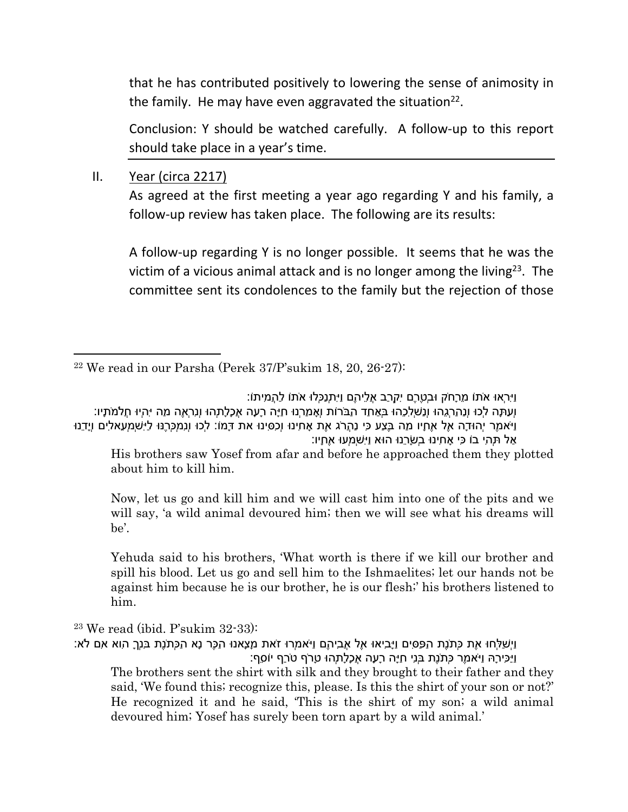that he has contributed positively to lowering the sense of animosity in the family. He may have even aggravated the situation<sup>22</sup>.

Conclusion: Y should be watched carefully. A follow-up to this report should take place in a year's time.

II. Year (circa 2217)

As agreed at the first meeting a year ago regarding Y and his family, a follow-up review has taken place. The following are its results:

A follow-up regarding Y is no longer possible. It seems that he was the victim of a vicious animal attack and is no longer among the living<sup>23</sup>. The committee sent its condolences to the family but the rejection of those

וַיִּרְאוּ אֹתוֹ מֵרָחֹק וּבְטֶרֶם יִקְרַב אֲלֵיהֶם וַיִּתְנַכְּלוּ אֹתוֹ לַהֲמִיתוֹ: וְעַתָּה לְכוּ וְנַהַרְגֵהוּ וְנַשְׁלִכֵהוּ בְּאַחַד הַבֹּרוֹת וְאָמַרְנוּ חַיָּה רָעָה אֲכָלָתְהוּ וְנִרְאֶה מַה יִּהְיוּ חֲלֹמֹתָיו: וַיֹּאמֶר יְהוּדָה אֶל אֶחָיו מַה בֶּצַע כִּי נַהֲרֹג אֶת אָחִינוּ וְכִסִּינוּ את דָּמוֹ: לְכוּ וְנִמְכְּרֶנּוּ לַיִּשְׁמְעֵאלִים וְיָדֵנוּ אַל תְּהִי בוֹ כִּי אָחִינוּ בְשָׂרֵנוּ הוּא וַיִּשְׁמְעוּ אֶחָיו:

His brothers saw Yosef from afar and before he approached them they plotted about him to kill him.

Now, let us go and kill him and we will cast him into one of the pits and we will say, 'a wild animal devoured him; then we will see what his dreams will be'.

Yehuda said to his brothers, 'What worth is there if we kill our brother and spill his blood. Let us go and sell him to the Ishmaelites; let our hands not be against him because he is our brother, he is our flesh;' his brothers listened to him.

 $23$  We read (ibid. P'sukim  $32-33$ ):

וַיְשַׁלְּחוּ אֶת כְּתֹנֶת הַפַּסִּים וַיָּבִיאוּ אֶל אֲבִיהֶם וַיֹּאמְרוּ זֹאת מָצָאנוּ הַכֶּר נָא הַכְּתֹנֶת בִּנְךָ הִוא אִם לֹא: וַיַּכִּירָהּ וַיֹּאמֶר כְּתֹנֶת בְּנִי חַיָּה רָעָה אֲכָלָתְהוּ טָרֹף טֹרַף יוֹסֵף:

The brothers sent the shirt with silk and they brought to their father and they said, 'We found this; recognize this, please. Is this the shirt of your son or not?' He recognized it and he said, 'This is the shirt of my son; a wild animal devoured him; Yosef has surely been torn apart by a wild animal.'

 $22$  We read in our Parsha (Perek 37/P'sukim 18, 20, 26-27):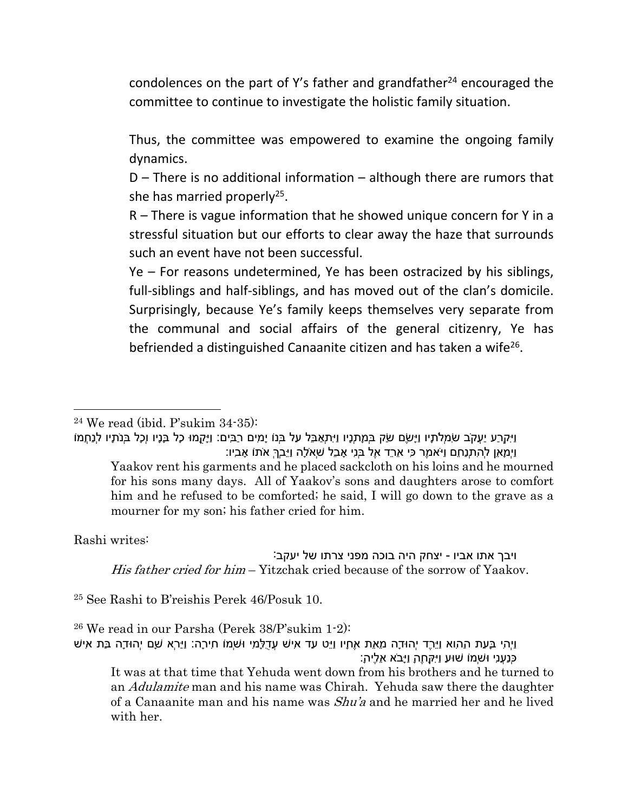condolences on the part of Y's father and grandfather $24$  encouraged the committee to continue to investigate the holistic family situation.

Thus, the committee was empowered to examine the ongoing family dynamics.

D – There is no additional information – although there are rumors that she has married properly<sup>25</sup>.

R – There is vague information that he showed unique concern for Y in a stressful situation but our efforts to clear away the haze that surrounds such an event have not been successful.

Ye – For reasons undetermined, Ye has been ostracized by his siblings, full-siblings and half-siblings, and has moved out of the clan's domicile. Surprisingly, because Ye's family keeps themselves very separate from the communal and social affairs of the general citizenry, Ye has befriended a distinguished Canaanite citizen and has taken a wife<sup>26</sup>.

וַיִּקְרַע יַעֲקֹב שִׂמְלֹתָיו וַיָּשֶׂם שַׂק בְּמָתְנָיו וַיִּתְאַבֵּל עַל בְּנוֹ יָמִים רַבִּים: וַיָּקֻמוּ כָל בָּנָיו וְכָל בְּנֹתָיו לְנַחֲמוֹ וַיְמָאֵן לְהִתְנַחֵם וַיֹּאמֶר כִּי אֵרֵד אֶל בְּנִי אָבֵל שְׁאֹלָה וַיֵּבְךְּ אֹתוֹ אָבִיו: Yaakov rent his garments and he placed sackcloth on his loins and he mourned for his sons many days. All of Yaakov's sons and daughters arose to comfort him and he refused to be comforted; he said, I will go down to the grave as a mourner for my son; his father cried for him.

Rashi writes:

ויבך אתו אביו - יצחק היה בוכה מפני צרתו של יעקב: *His father cried for him* – Yitzchak cried because of the sorrow of Yaakov.

<sup>25</sup> See Rashi to B'reishis Perek 46/Posuk 10.

<sup>26</sup> We read in our Parsha (Perek 38/P'sukim 1-2):

וַיְהִי בָּעֵת הַהִוא וַיֵּרֶד יְהוּדָה מֵאֵת אֶחָיו וַיֵּט עַד אִישׁ עֲדֻלָּמִי וּשְׁמוֹ חִירָה: וַיַּרְא שָׁם יְהוּדָה בַּת אִישׁ כְּנַעֲנִי וּשְׁמוֹ שׁוּעַ וַיִּקָּחֶהָ וַיָּבֹא אֵלֶיה:ָ

It was at that time that Yehuda went down from his brothers and he turned to an *Adulamite* man and his name was Chirah. Yehuda saw there the daughter of a Canaanite man and his name was *Shu'a* and he married her and he lived with her.

 $24$  We read (ibid. P'sukim 34-35):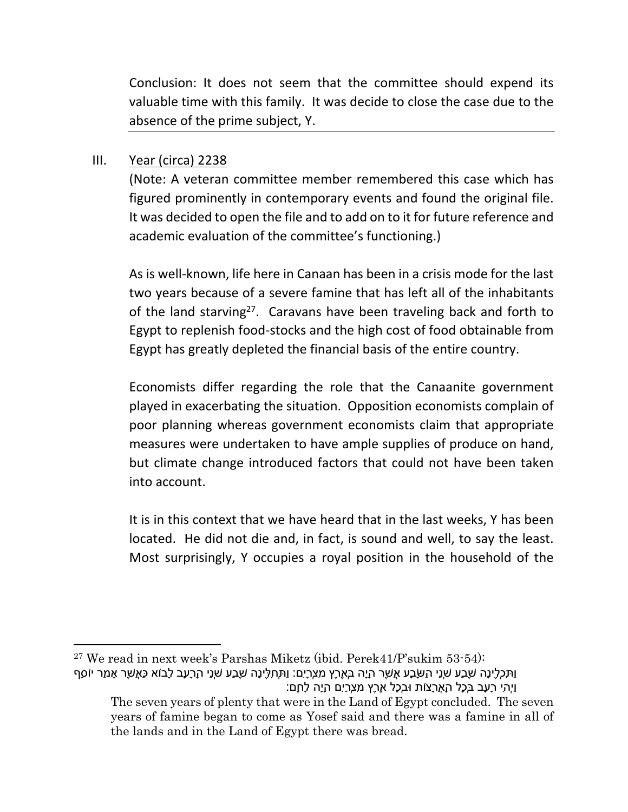Conclusion: It does not seem that the committee should expend its valuable time with this family. It was decide to close the case due to the absence of the prime subject, Y.

## III. Year (circa) 2238

(Note: A veteran committee member remembered this case which has figured prominently in contemporary events and found the original file. It was decided to open the file and to add on to it for future reference and academic evaluation of the committee's functioning.)

As is well-known, life here in Canaan has been in a crisis mode for the last two years because of a severe famine that has left all of the inhabitants of the land starving<sup>27</sup>. Caravans have been traveling back and forth to Egypt to replenish food-stocks and the high cost of food obtainable from Egypt has greatly depleted the financial basis of the entire country.

Economists differ regarding the role that the Canaanite government played in exacerbating the situation. Opposition economists complain of poor planning whereas government economists claim that appropriate measures were undertaken to have ample supplies of produce on hand, but climate change introduced factors that could not have been taken into account.

It is in this context that we have heard that in the last weeks, Y has been located. He did not die and, in fact, is sound and well, to say the least. Most surprisingly, Y occupies a royal position in the household of the

 $27$  We read in next week's Parshas Miketz (ibid. Perek41/P'sukim 53-54): וַתִּכְלֶינָה שֶׁבַע שְׁנֵי הַשָּׂבָע אֲשֶׁר הָיָה בְּאֶרֶץ מִצְרָיִם: וַתְּחִלֶּינָה שֶׁבַע שְׁנֵי הָרָעָב לָבוֹא כַּאֲשֶׁר אָמַר יוֹסֵף וַיְהִי רָעָב בְּכָל הָאֲרָצוֹת וּבְכָל אֶרֶץ מִצְרַיִם הָיָה לָחֶם:

The seven years of plenty that were in the Land of Egypt concluded. The seven years of famine began to come as Yosef said and there was a famine in all of the lands and in the Land of Egypt there was bread.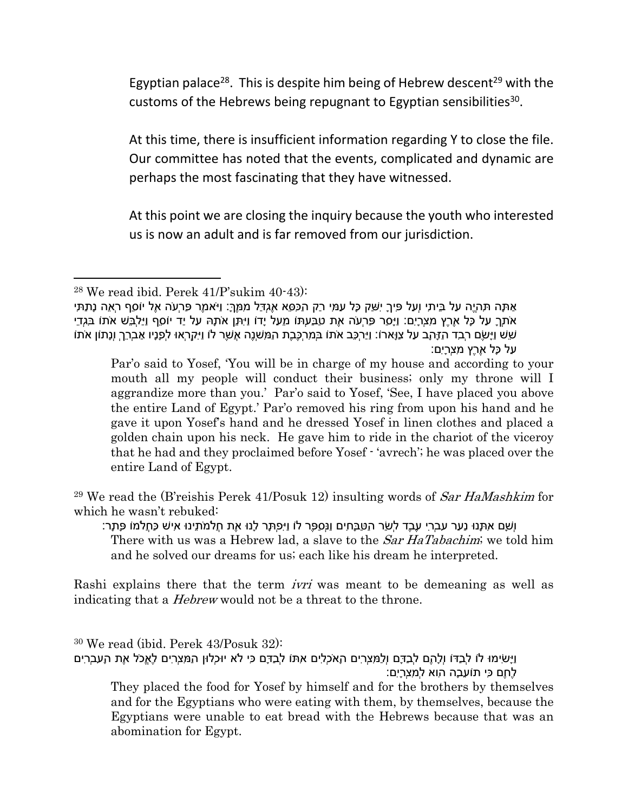Egyptian palace<sup>28</sup>. This is despite him being of Hebrew descent<sup>29</sup> with the customs of the Hebrews being repugnant to Egyptian sensibilities<sup>30</sup>.

At this time, there is insufficient information regarding Y to close the file. Our committee has noted that the events, complicated and dynamic are perhaps the most fascinating that they have witnessed.

At this point we are closing the inquiry because the youth who interested us is now an adult and is far removed from our jurisdiction.

<sup>29</sup> We read the (B'reishis Perek 41/Posuk 12) insulting words of *Sar HaMashkim* for which he wasn't rebuked:

וְשָׁם אִתָּנוּ נַעַר עִבְרִי עֶבֶד לְשַׂר הַטַּבָּחִים וַנְּסַפֶּר לוֹ וַיִּפְתָּר לָנוּ אֶת חֲלֹמֹתֵינוּ אִישׁ כַּחֲלֹמוֹ פָּתָר: There with us was a Hebrew lad, a slave to the *Sar HaTabachim*; we told him and he solved our dreams for us; each like his dream he interpreted.

Rashi explains there that the term *ivri* was meant to be demeaning as well as indicating that a *Hebrew* would not be a threat to the throne.

<sup>30</sup> We read (ibid. Perek 43/Posuk 32): וַיָּשִׂימוּ לוֹ לְבַדּוֹ וְלָהֶם לְבַדָּם וְלַמִּצְרִים הָאֹכְלִים אִתּוֹ לְבַדָּם כִּי לֹא יוּכְלוּן הַמִּצְרִים לֶאֱכֹל אֶת הָעִבְרִים לֶחֶם כִּי תוֹעֵבָה הִוא לְמִצְרָיִם: They placed the food for Yosef by himself and for the brothers by themselves

and for the Egyptians who were eating with them, by themselves, because the Egyptians were unable to eat bread with the Hebrews because that was an abomination for Egypt.

 $28$  We read ibid. Perek  $41/P$ 'sukim  $40-43$ ):

אַתָּה תִּהְיֶה עַל בֵּיתִי וְעַל פִּיךָ יִשַּׁק כָּל עַמִּי רַק הַכִּסֵּא אֶגְדַּל מִמֶּךּ:ָ וַיֹּאמֶר פַּרְעֹה אֶל יוֹסֵף רְאֵה נָתַתִּי אֹתְךָ עַל כָּל אֶרֶץ מִצְרָיִם: וַיָּסַר פַּרְעֹה אֶת טַבַּעְתּוֹ מֵעַל יָדוֹ וַיִּתֵּן אֹתָהּ עַל יַד יוֹסֵף וַיַּלְבֵּשׁ אֹתוֹ בִּגְדֵי שֵׁשׁ וַיָּשֶׂם רְבִד הַזָּהָב עַל צַוָּארוֹ: וַיַּרְכֵּב אֹתוֹ בְּמִרְכֶּבֶת הַמִּשְׁנֶה אֲשֶׁר לוֹ וַיִּקְרְאוּ לְפָנָיו אַבְרֵךְ וְנָתוֹן אֹתוֹ עַל כָּל אֶרֶץ מִצְרָיִם:

Par'o said to Yosef, 'You will be in charge of my house and according to your mouth all my people will conduct their business; only my throne will I aggrandize more than you.' Par'o said to Yosef, 'See, I have placed you above the entire Land of Egypt.' Par'o removed his ring from upon his hand and he gave it upon Yosef's hand and he dressed Yosef in linen clothes and placed a golden chain upon his neck. He gave him to ride in the chariot of the viceroy that he had and they proclaimed before Yosef - 'avrech'; he was placed over the entire Land of Egypt.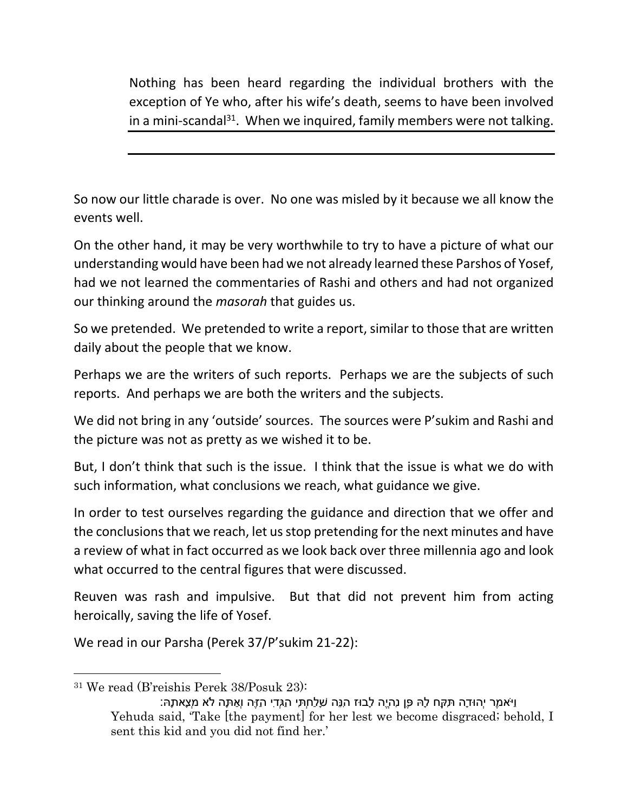Nothing has been heard regarding the individual brothers with the exception of Ye who, after his wife's death, seems to have been involved in a mini-scandal<sup>31</sup>. When we inquired, family members were not talking.

So now our little charade is over. No one was misled by it because we all know the events well.

On the other hand, it may be very worthwhile to try to have a picture of what our understanding would have been had we not already learned these Parshos of Yosef, had we not learned the commentaries of Rashi and others and had not organized our thinking around the *masorah* that guides us.

So we pretended. We pretended to write a report, similar to those that are written daily about the people that we know.

Perhaps we are the writers of such reports. Perhaps we are the subjects of such reports. And perhaps we are both the writers and the subjects.

We did not bring in any 'outside' sources. The sources were P'sukim and Rashi and the picture was not as pretty as we wished it to be.

But, I don't think that such is the issue. I think that the issue is what we do with such information, what conclusions we reach, what guidance we give.

In order to test ourselves regarding the guidance and direction that we offer and the conclusions that we reach, let us stop pretending for the next minutes and have a review of what in fact occurred as we look back over three millennia ago and look what occurred to the central figures that were discussed.

Reuven was rash and impulsive. But that did not prevent him from acting heroically, saving the life of Yosef.

We read in our Parsha (Perek 37/P'sukim 21-22):

<sup>31</sup> We read (B'reishis Perek 38/Posuk 23):

וַיֹּאמֶר יְהוּדָה תִּקַּח לָהּ פֶּן נִהְיֶה לָבוּז הִנֵּה שָׁלַחְתִּי הַגְּדִי הַזֶּה וְאַתָּה לֹא מְצָאתָהּ: Yehuda said, 'Take [the payment] for her lest we become disgraced; behold, I sent this kid and you did not find her.'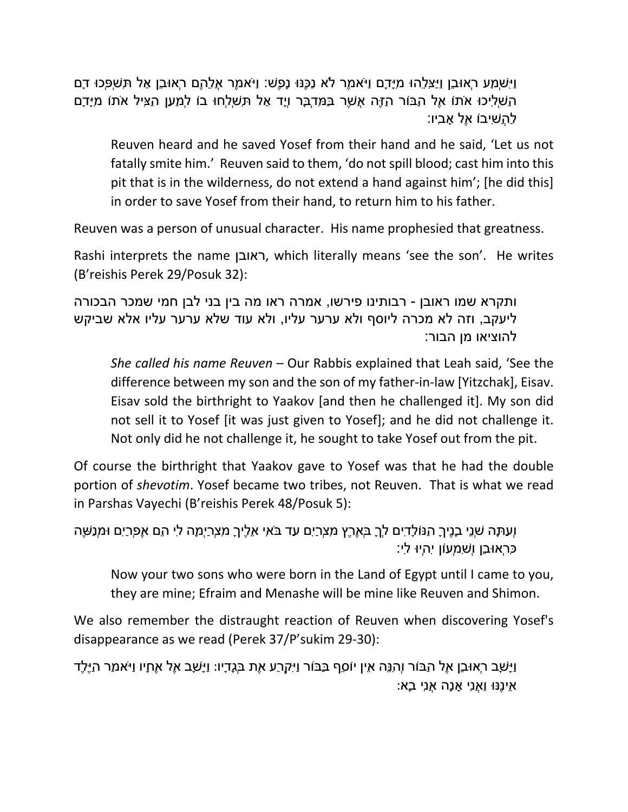וַיִּשְׁמַע רְאוּבֵן וַיַּצִּלֵהוּ מִיָּדָם וַיֹּאמֶר לֹא נַכֶּנּוּ נָפֶשׁ: וַיֹּאמֶר אֲלֵהֶם רְאוּבֵן אַל תִּשְׁפְּכוּ דָם הַשְׁלִיכוּ אֹתוֹ אֶל הַבּוֹר הַזֶּה אֲשֶׁר בַּמִּדְבָּר וְיָד אַל תִּשְׁלְחוּ בוֹ לְמַעַן הַצִּיל אֹתוֹ מִיָּדָם לַהֲשִׁיבוֹ אֶל אָבִיו:

Reuven heard and he saved Yosef from their hand and he said, 'Let us not fatally smite him.' Reuven said to them, 'do not spill blood; cast him into this pit that is in the wilderness, do not extend a hand against him'; [he did this] in order to save Yosef from their hand, to return him to his father.

Reuven was a person of unusual character. His name prophesied that greatness.

Rashi interprets the name ראובן, which literally means 'see the son'. He writes (B'reishis Perek 29/Posuk 32):

ותקרא שמו ראובן - רבותינו פירשו, אמרה ראו מה בין בני לבן חמי שמכר הבכורה ליעקב, וזה לא מכרה ליוסף ולא ערער עליו, ולא עוד שלא ערער עליו אלא שביקש להוציאו מן הבור:

*She called his name Reuven* – Our Rabbis explained that Leah said, 'See the difference between my son and the son of my father-in-law [Yitzchak], Eisav. Eisav sold the birthright to Yaakov [and then he challenged it]. My son did not sell it to Yosef [it was just given to Yosef]; and he did not challenge it. Not only did he not challenge it, he sought to take Yosef out from the pit.

Of course the birthright that Yaakov gave to Yosef was that he had the double portion of *shevotim*. Yosef became two tribes, not Reuven. That is what we read in Parshas Vayechi (B'reishis Perek 48/Posuk 5):

```
וְעַתָּה שְׁנֵי בָנֶיךָ הַנּוֹלָדִים לְךָ בְּאֶרֶץ מִצְרַיִם עַד בֹּאִי אֵלֶיךָ מִצְרַיְמָה לִי הֵם אֶפְרַיִם וּמְנַשֶּׁה
                                                                             כִּרְאוּבֵן וְשִׁמְעוֹן יִהְיוּ לִי:
```
Now your two sons who were born in the Land of Egypt until I came to you, they are mine; Efraim and Menashe will be mine like Reuven and Shimon.

We also remember the distraught reaction of Reuven when discovering Yosef's disappearance as we read (Perek 37/P'sukim 29-30):

וַיָּשָׁב רְאוּבֵן אֶל הַבּוֹר וְהִנֵּה אֵין יוֹסֵף בַּבּוֹר וַיִּקְרַע אֶת בְּגָדָיו: וַיָּשָׁב אֶל אֶחָיו וַיֹּאמַר הַיֶּלֶד אֵינֶנּוּ וַאֲנִי אָנָה אֲנִי בָא: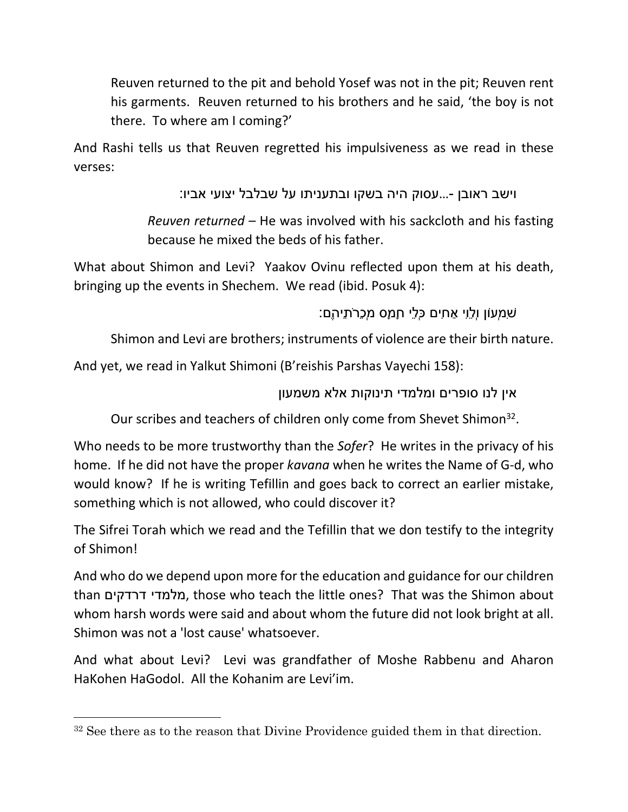Reuven returned to the pit and behold Yosef was not in the pit; Reuven rent his garments. Reuven returned to his brothers and he said, 'the boy is not there. To where am I coming?'

And Rashi tells us that Reuven regretted his impulsiveness as we read in these verses:

וישב ראובן -...עסוק היה בשקו ובתעניתו על שבלבל יצועי אביו:

*Reuven returned* – He was involved with his sackcloth and his fasting because he mixed the beds of his father.

What about Shimon and Levi? Yaakov Ovinu reflected upon them at his death, bringing up the events in Shechem. We read (ibid. Posuk 4):

שִׁמְעוֹן וְלֵוִי אַחִים כְּלֵי חָמָס מְכֵרֹתֵיהֶם:

Shimon and Levi are brothers; instruments of violence are their birth nature.

And yet, we read in Yalkut Shimoni (B'reishis Parshas Vayechi 158):

אין לנו סופרים ומלמדי תינוקות אלא משמעון

Our scribes and teachers of children only come from Shevet Shimon<sup>32</sup>.

Who needs to be more trustworthy than the *Sofer*? He writes in the privacy of his home. If he did not have the proper *kavana* when he writes the Name of G-d, who would know? If he is writing Tefillin and goes back to correct an earlier mistake, something which is not allowed, who could discover it?

The Sifrei Torah which we read and the Tefillin that we don testify to the integrity of Shimon!

And who do we depend upon more for the education and guidance for our children than דרדקים מלמדי, those who teach the little ones? That was the Shimon about whom harsh words were said and about whom the future did not look bright at all. Shimon was not a 'lost cause' whatsoever.

And what about Levi? Levi was grandfather of Moshe Rabbenu and Aharon HaKohen HaGodol. All the Kohanim are Levi'im.

<sup>&</sup>lt;sup>32</sup> See there as to the reason that Divine Providence guided them in that direction.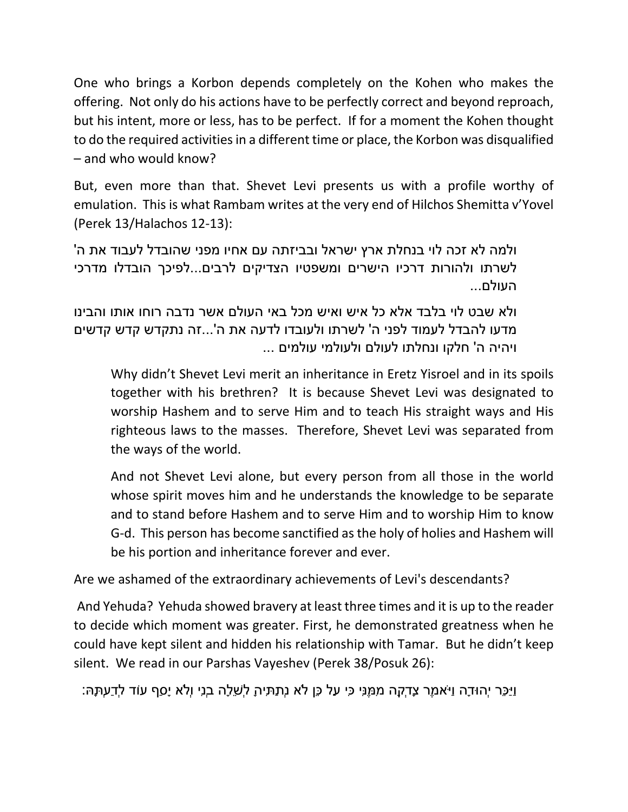One who brings a Korbon depends completely on the Kohen who makes the offering. Not only do his actions have to be perfectly correct and beyond reproach, but his intent, more or less, has to be perfect. If for a moment the Kohen thought to do the required activities in a different time or place, the Korbon was disqualified – and who would know?

But, even more than that. Shevet Levi presents us with a profile worthy of emulation. This is what Rambam writes at the very end of Hilchos Shemitta v'Yovel (Perek 13/Halachos 12-13):

ולמה לא זכה לוי בנחלת ארץ ישראל ובביזתה עם אחיו מפני שהובדל לעבוד את ה' לשרתו ולהורות דרכיו הישרים ומשפטיו הצדיקים לרבים...לפיכך הובדלו מדרכי העולם...

ולא שבט לוי בלבד אלא כל איש ואיש מכל באי העולם אשר נדבה רוחו אותו והבינו מדעו להבדל לעמוד לפני ה' לשרתו ולעובדו לדעה את ה'...זה נתקדש קדש קדשים ..ויהיה ה' חלקו ונחלתו לעולם ולעולמי עולמים ...

Why didn't Shevet Levi merit an inheritance in Eretz Yisroel and in its spoils together with his brethren? It is because Shevet Levi was designated to worship Hashem and to serve Him and to teach His straight ways and His righteous laws to the masses. Therefore, Shevet Levi was separated from the ways of the world.

And not Shevet Levi alone, but every person from all those in the world whose spirit moves him and he understands the knowledge to be separate and to stand before Hashem and to serve Him and to worship Him to know G-d. This person has become sanctified as the holy of holies and Hashem will be his portion and inheritance forever and ever.

Are we ashamed of the extraordinary achievements of Levi's descendants?

 And Yehuda? Yehuda showed bravery at least three times and it is up to the reader to decide which moment was greater. First, he demonstrated greatness when he could have kept silent and hidden his relationship with Tamar. But he didn't keep silent. We read in our Parshas Vayeshev (Perek 38/Posuk 26):

וַיַּכֵּר יְהוּדָה וַיֹּאמֶר צָדְקָה מִמֶּנִּי כִּי עַל כֵּן לֹא נְתַתִּיהָ לְשֵׁלָה בְנִי וְלֹא יָסַף עוֹד לְדַעְתָּהּ: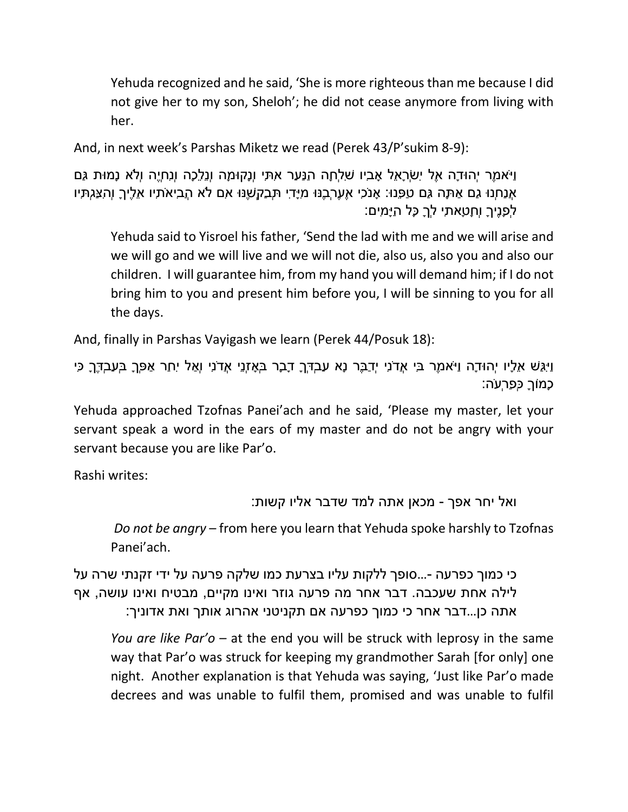Yehuda recognized and he said, 'She is more righteous than me because I did not give her to my son, Sheloh'; he did not cease anymore from living with her.

And, in next week's Parshas Miketz we read (Perek 43/P'sukim 8-9):

וַיֹּאמֶר יְהוּדָה אֶל יִשְׂרָאֵל אָבִיו שִׁלְחָה הַנַּעַר אִתִּי וְנָקוּמָה וְנֵלֵכָה וְנִחְיֶה וְלֹא נָמוּת גַּם אֲנַחְנוּ גַם אַתָּה גַּם טַפֵּנוּ: אָנֹכִי אֶעֶרְבֶנּוּ מִיָּדִי תְּבַקְשֶׁנּוּ אִם לֹא הֲבִיאֹתִיו אֵלֶיךָ וְהִצַּגְתִּיו לְפָנֶיךָ וְחָטָאתִי לְךָ כָּל הַיָּמִים:

Yehuda said to Yisroel his father, 'Send the lad with me and we will arise and we will go and we will live and we will not die, also us, also you and also our children. I will guarantee him, from my hand you will demand him; if I do not bring him to you and present him before you, I will be sinning to you for all the days.

And, finally in Parshas Vayigash we learn (Perek 44/Posuk 18):

וַיִּגַּשׁ אֵלָיו יְהוּדָה וַיֹּאמֶר בִּי אֲדֹנִי יְדַבֶּר נָא עַבְדְּךָ דָבָר בְּאָזְנֵי אֲדֹנִי וְאַל יִחַר אַפְּךָ בְּעַבְדֶּךָ כִּי כָמוֹךָ כְּפַרְעֹה:

Yehuda approached Tzofnas Panei'ach and he said, 'Please my master, let your servant speak a word in the ears of my master and do not be angry with your servant because you are like Par'o.

Rashi writes:

ואל יחר אפך - מכאן אתה למד שדבר אליו קשות:

 *Do not be angry* – from here you learn that Yehuda spoke harshly to Tzofnas Panei'ach.

כי כמוך כפרעה -...סופך ללקות עליו בצרעת כמו שלקה פרעה על ידי זקנתי שרה על לילה אחת שעכבה. דבר אחר מה פרעה גוזר ואינו מקיים, מבטיח ואינו עושה, אף אתה כן...דבר אחר כי כמוך כפרעה אם תקניטני אהרוג אותך ואת אדוניך:

*You are like Par'o* – at the end you will be struck with leprosy in the same way that Par'o was struck for keeping my grandmother Sarah [for only] one night. Another explanation is that Yehuda was saying, 'Just like Par'o made decrees and was unable to fulfil them, promised and was unable to fulfil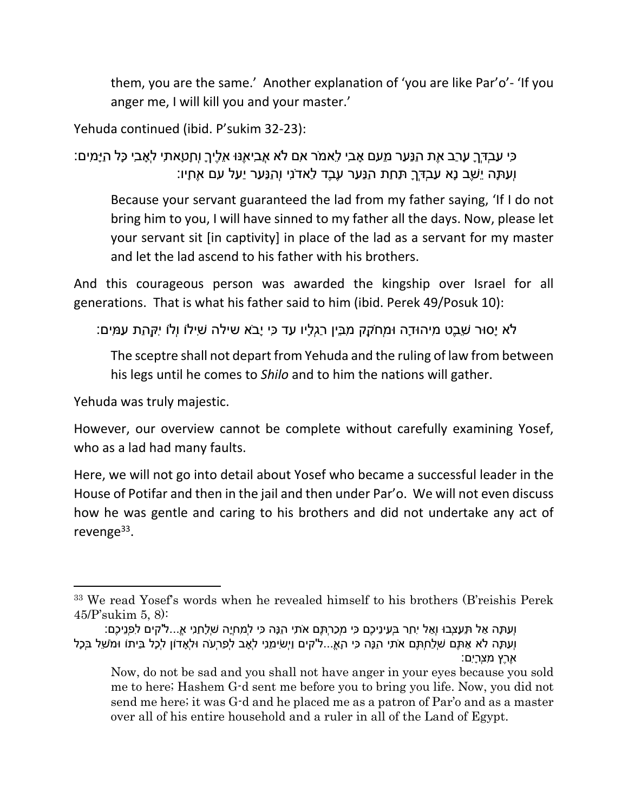them, you are the same.' Another explanation of 'you are like Par'o'- 'If you anger me, I will kill you and your master.'

Yehuda continued (ibid. P'sukim 32-23):

כִּי עַבְדְּךָ עָרַב אֶת הַנַּעַר מֵעִם אָבִי לֵאמֹר אִם לֹא אֲבִיאֶנּוּ אֵלֶיךָ וְחָטָאתִי לְאָבִי כָּל הַיָּמִים: וְעַתָּה יֵשֶׁב נָא עַבְדְּךָ תַּחַת הַנַּעַר עֶבֶד לַאדֹנִי וְהַנַּעַר יַעַל עִם אֶחָיו:

Because your servant guaranteed the lad from my father saying, 'If I do not bring him to you, I will have sinned to my father all the days. Now, please let your servant sit [in captivity] in place of the lad as a servant for my master and let the lad ascend to his father with his brothers.

And this courageous person was awarded the kingship over Israel for all generations. That is what his father said to him (ibid. Perek 49/Posuk 10):

לֹא יָסוּר שֵׁבֶט מִיהוּדָה וּמְחֹקֵק מִבֵּין רַגְלָיו עַד כִּי יָבֹא שילה שִׁילוֹ וְלוֹ יִקְּהַת עַמִּים:

The sceptre shall not depart from Yehuda and the ruling of law from between his legs until he comes to *Shilo* and to him the nations will gather.

Yehuda was truly majestic.

However, our overview cannot be complete without carefully examining Yosef, who as a lad had many faults.

Here, we will not go into detail about Yosef who became a successful leader in the House of Potifar and then in the jail and then under Par'o. We will not even discuss how he was gentle and caring to his brothers and did not undertake any act of revenge<sup>33</sup>.

<sup>33</sup> We read Yosef's words when he revealed himself to his brothers (B'reishis Perek 45/P'sukim 5, 8):

וְעַתָּה אַל תֵּעָצְבוּ וְאַל יִחַר בְּעֵינֵיכֶם כִּי מְכַרְתֶּם אֹתִי הֵנָּה כִּי לְמִחְיָה שְׁלָחַנִי א...ֱלֹ'קים לִפְנֵיכֶם: וְעַתָּה לֹא אַתֶּם שְׁלַחְתֶּם אֹתִי הֵנָּה כִּי הָא...ֱל'קים וַיְשִׂימֵנִי לְאָב לְפַרְעֹה וּלְאָדוֹן לְכָל בֵּיתוֹ וּמֹשֵׁל בְּכָל אֶרֶץ מִצְרָיִם:

Now, do not be sad and you shall not have anger in your eyes because you sold me to here; Hashem G-d sent me before you to bring you life. Now, you did not send me here; it was G-d and he placed me as a patron of Par'o and as a master over all of his entire household and a ruler in all of the Land of Egypt.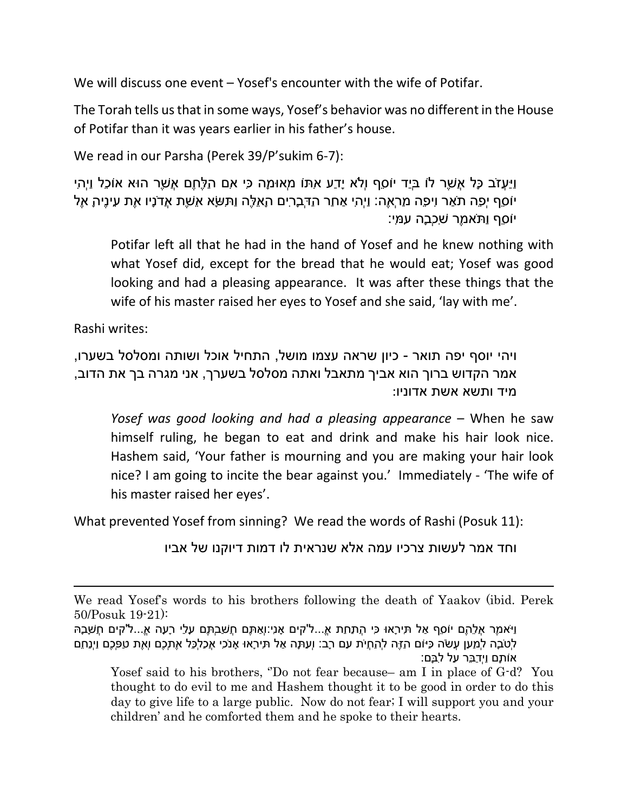We will discuss one event – Yosef's encounter with the wife of Potifar.

The Torah tells us that in some ways, Yosef's behavior was no different in the House of Potifar than it was years earlier in his father's house.

We read in our Parsha (Perek 39/P'sukim 6-7):

וַיַּעֲזֹב כָּל אֲשֶׁר לוֹ בְּיַד יוֹסֵף וְלֹא יָדַע אִתּוֹ מְאוּמָה כִּי אִם הַלֶּחֶם אֲשֶׁר הוּא אוֹכֵל וַיְהִי יוֹסֵף יְפֵה תֹאַר וִיפֵה מַרְאֶה: וַיְהִי אַחַר הַדְּבָרִים הָאֵלֶּה וַתִּשָּׂא אֵשֶׁת אֲדֹנָיו אֶת עֵינֶיהָ אֶל יוֹסֵף וַתֹּאמֶר שִׁכְבָה עִמִּי:

Potifar left all that he had in the hand of Yosef and he knew nothing with what Yosef did, except for the bread that he would eat; Yosef was good looking and had a pleasing appearance. It was after these things that the wife of his master raised her eyes to Yosef and she said, 'lay with me'.

Rashi writes:

ויהי יוסף יפה תואר - כיון שראה עצמו מושל, התחיל אוכל ושותה ומסלסל בשערו, אמר הקדוש ברוך הוא אביך מתאבל ואתה מסלסל בשערך, אני מגרה בך את הדוב, מיד ותשא אשת אדוניו:

*Yosef was good looking and had a pleasing appearance* – When he saw himself ruling, he began to eat and drink and make his hair look nice. Hashem said, 'Your father is mourning and you are making your hair look nice? I am going to incite the bear against you.' Immediately - 'The wife of his master raised her eyes'.

What prevented Yosef from sinning? We read the words of Rashi (Posuk 11):

וחד אמר לעשות צרכיו עמה אלא שנראית לו דמות דיוקנו של אביו

We read Yosef's words to his brothers following the death of Yaakov (ibid. Perek 50/Posuk 19-21):

וַיֹּאמֶר אֲלֵהֶם יוֹסֵף אַל תִּירָאוּ כִּי הֲתַחַת א...ֱל'קים אָנִי:וְאַתֶּם חֲשַׁבְתֶּם עָלַי רָעָה א...ֱלֹ'קים חֲשָׁבָהּ לְטֹבָה לְמַעַן עֲשֹׂה כַּיּוֹם הַזֶּה לְהַחֲיֹת עַם רָב: וְעַתָּה אַל תִּירָאוּ אָנֹכִי אֲכַלְכֵּל אֶתְכֶם וְאֶת טַפְּכֶם וַיְנַחֵם אוֹתָם וַיְדַבֵּר עַל לִבָּם:

Yosef said to his brothers, ''Do not fear because– am I in place of G-d? You thought to do evil to me and Hashem thought it to be good in order to do this day to give life to a large public. Now do not fear; I will support you and your children' and he comforted them and he spoke to their hearts.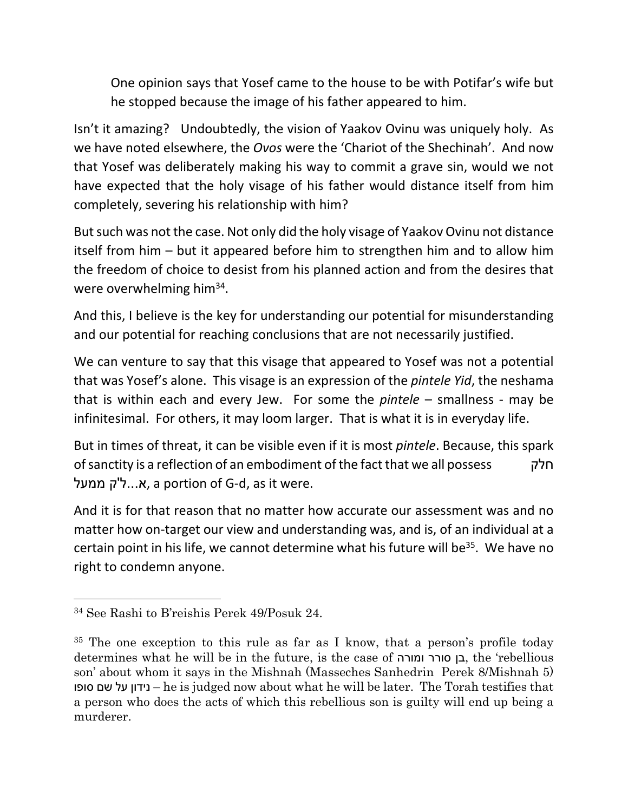One opinion says that Yosef came to the house to be with Potifar's wife but he stopped because the image of his father appeared to him.

Isn't it amazing? Undoubtedly, the vision of Yaakov Ovinu was uniquely holy. As we have noted elsewhere, the *Ovos* were the 'Chariot of the Shechinah'. And now that Yosef was deliberately making his way to commit a grave sin, would we not have expected that the holy visage of his father would distance itself from him completely, severing his relationship with him?

But such was not the case. Not only did the holy visage of Yaakov Ovinu not distance itself from him – but it appeared before him to strengthen him and to allow him the freedom of choice to desist from his planned action and from the desires that were overwhelming him<sup>34</sup>.

And this, I believe is the key for understanding our potential for misunderstanding and our potential for reaching conclusions that are not necessarily justified.

We can venture to say that this visage that appeared to Yosef was not a potential that was Yosef's alone. This visage is an expression of the *pintele Yid*, the neshama that is within each and every Jew. For some the *pintele* – smallness - may be infinitesimal. For others, it may loom larger. That is what it is in everyday life.

But in times of threat, it can be visible even if it is most *pintele*. Because, this spark of sanctity is a reflection of an embodiment of the fact that we all possess חלק א...ל'ק ממעל, a portion of G-d, as it were.

And it is for that reason that no matter how accurate our assessment was and no matter how on-target our view and understanding was, and is, of an individual at a certain point in his life, we cannot determine what his future will be<sup>35</sup>. We have no right to condemn anyone.

<sup>34</sup> See Rashi to B'reishis Perek 49/Posuk 24.

<sup>&</sup>lt;sup>35</sup> The one exception to this rule as far as I know, that a person's profile today determines what he will be in the future, is the case of ומורה סורר בן, the 'rebellious son' about whom it says in the Mishnah (Masseches Sanhedrin Perek 8/Mishnah 5) סופו שם על נידון – he is judged now about what he will be later. The Torah testifies that a person who does the acts of which this rebellious son is guilty will end up being a murderer.